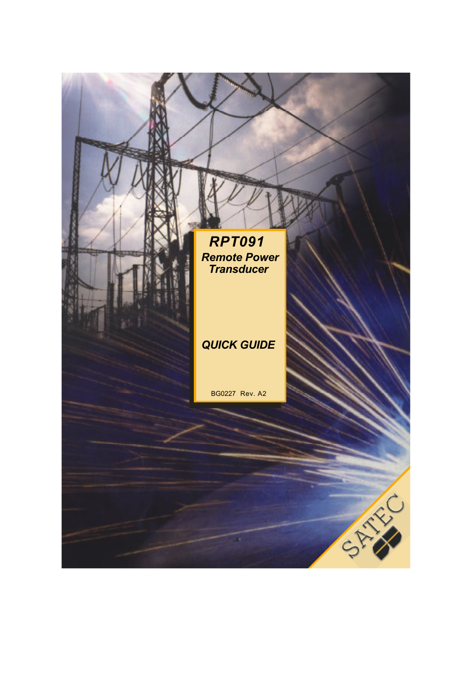## *RPT091 Remote Power Transducer*

## *QUICK GUIDE*

BG0227 Rev. A2

×.

STAND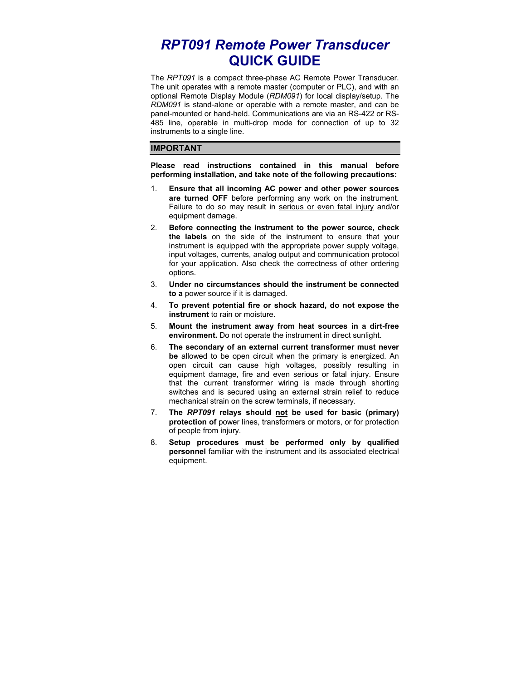# *RPT091 Remote Power Transducer* **QUICK GUIDE**

The *RPT091* is a compact three-phase AC Remote Power Transducer. The unit operates with a remote master (computer or PLC), and with an optional Remote Display Module (*RDM091*) for local display/setup. The *RDM091* is stand-alone or operable with a remote master, and can be panel-mounted or hand-held. Communications are via an RS-422 or RS-485 line, operable in multi-drop mode for connection of up to 32 instruments to a single line.

#### **IMPORTANT**

**Please read instructions contained in this manual before performing installation, and take note of the following precautions:** 

- 1. **Ensure that all incoming AC power and other power sources are turned OFF** before performing any work on the instrument. Failure to do so may result in serious or even fatal injury and/or equipment damage.
- 2. **Before connecting the instrument to the power source, check the labels** on the side of the instrument to ensure that your instrument is equipped with the appropriate power supply voltage, input voltages, currents, analog output and communication protocol for your application. Also check the correctness of other ordering options.
- 3. **Under no circumstances should the instrument be connected to a** power source if it is damaged.
- 4. **To prevent potential fire or shock hazard, do not expose the instrument** to rain or moisture.
- 5. **Mount the instrument away from heat sources in a dirt-free environment.** Do not operate the instrument in direct sunlight.
- 6. **The secondary of an external current transformer must never be** allowed to be open circuit when the primary is energized. An open circuit can cause high voltages, possibly resulting in equipment damage, fire and even serious or fatal injury. Ensure that the current transformer wiring is made through shorting switches and is secured using an external strain relief to reduce mechanical strain on the screw terminals, if necessary.
- 7. **The** *RPT091* **relays should not be used for basic (primary) protection of** power lines, transformers or motors, or for protection of people from injury.
- 8. **Setup procedures must be performed only by qualified personnel** familiar with the instrument and its associated electrical equipment.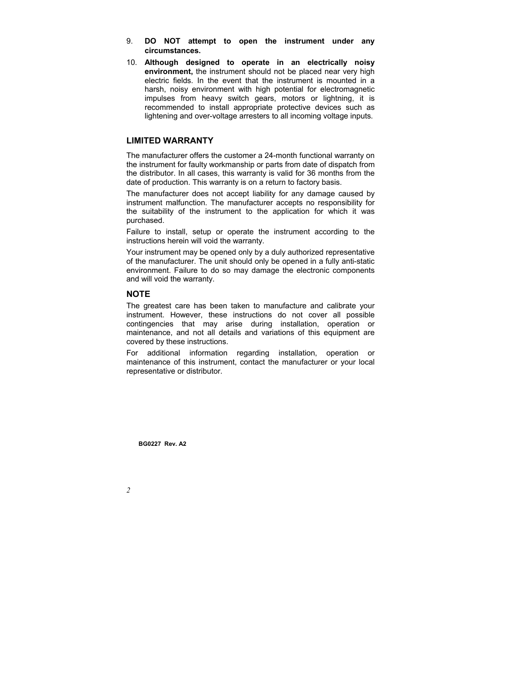- 9. **DO NOT attempt to open the instrument under any circumstances.**
- 10. **Although designed to operate in an electrically noisy environment,** the instrument should not be placed near very high electric fields. In the event that the instrument is mounted in a harsh, noisy environment with high potential for electromagnetic impulses from heavy switch gears, motors or lightning, it is recommended to install appropriate protective devices such as lightening and over-voltage arresters to all incoming voltage inputs.

#### **LIMITED WARRANTY**

The manufacturer offers the customer a 24-month functional warranty on the instrument for faulty workmanship or parts from date of dispatch from the distributor. In all cases, this warranty is valid for 36 months from the date of production. This warranty is on a return to factory basis.

The manufacturer does not accept liability for any damage caused by instrument malfunction. The manufacturer accepts no responsibility for the suitability of the instrument to the application for which it was purchased.

Failure to install, setup or operate the instrument according to the instructions herein will void the warranty.

Your instrument may be opened only by a duly authorized representative of the manufacturer. The unit should only be opened in a fully anti-static environment. Failure to do so may damage the electronic components and will void the warranty.

#### **NOTE**

The greatest care has been taken to manufacture and calibrate your instrument. However, these instructions do not cover all possible contingencies that may arise during installation, operation or maintenance, and not all details and variations of this equipment are covered by these instructions.

For additional information regarding installation, operation or maintenance of this instrument, contact the manufacturer or your local representative or distributor.

**BG0227 Rev. A2**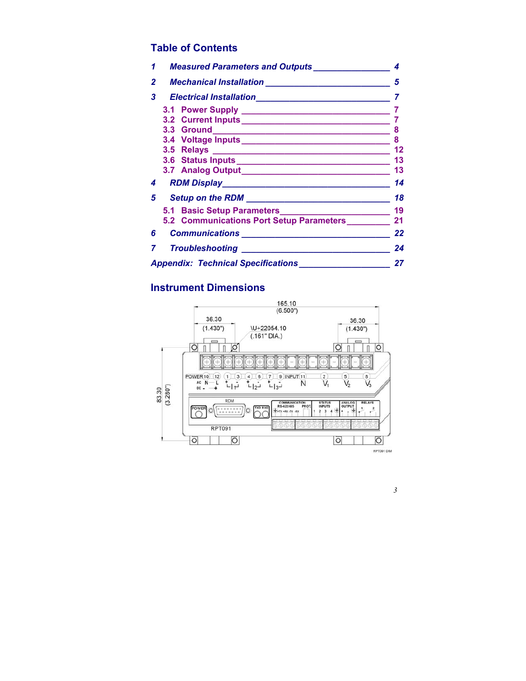## Table of Contents

| 1  | Measured Parameters and Outputs_____________________ |     |  |  |  |
|----|------------------------------------------------------|-----|--|--|--|
| 2  |                                                      |     |  |  |  |
| 3  |                                                      |     |  |  |  |
|    |                                                      |     |  |  |  |
|    |                                                      |     |  |  |  |
|    |                                                      |     |  |  |  |
|    |                                                      |     |  |  |  |
|    |                                                      |     |  |  |  |
|    |                                                      |     |  |  |  |
|    |                                                      |     |  |  |  |
| 4  |                                                      | 14  |  |  |  |
| 5  |                                                      | -18 |  |  |  |
|    |                                                      |     |  |  |  |
|    |                                                      |     |  |  |  |
| 6. |                                                      | 22  |  |  |  |
| 7  |                                                      | 24  |  |  |  |
|    |                                                      | 27  |  |  |  |

Instrument Dimensions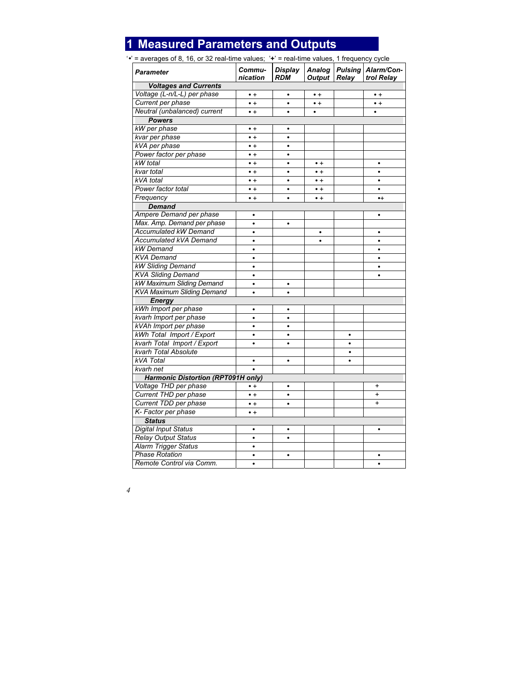# **1 Measured Parameters and Outputs**

'•' = averages of 8, 16, or 32 real-time values; '**+**' = real-time values, 1 frequency cycle

| <b>Parameter</b>                          | Commu-<br>nication | <b>Display</b><br><b>RDM</b> | <b>Analog</b><br>Output | <b>Pulsing</b><br>Relay | Alarm/Con-<br>trol Relay |  |
|-------------------------------------------|--------------------|------------------------------|-------------------------|-------------------------|--------------------------|--|
| <b>Voltages and Currents</b>              |                    |                              |                         |                         |                          |  |
| Voltage (L-n/L-L) per phase               | $\bullet$ +        | $\bullet$                    | $\bullet$ +             |                         | $\bullet$ +              |  |
| Current per phase                         | $\bullet$ +        | $\bullet$                    | $\bullet$ +             |                         | $\bullet$ +              |  |
| Neutral (unbalanced) current              | $\bullet$ +        | $\bullet$                    | $\bullet$               |                         | $\bullet$                |  |
| <b>Powers</b>                             |                    |                              |                         |                         |                          |  |
| kW per phase                              | $\bullet$ +        | ٠                            |                         |                         |                          |  |
| kvar per phase                            | $\bullet$ +        | $\bullet$                    |                         |                         |                          |  |
| kVA per phase                             | $\bullet$ +        | ٠                            |                         |                         |                          |  |
| Power factor per phase                    | $\bullet$ +        | $\bullet$                    |                         |                         |                          |  |
| kW total                                  | $\bullet$ +        | $\bullet$                    | $\bullet$ +             |                         | $\bullet$                |  |
| kvar total                                | $\bullet$ +        | $\bullet$                    | $\bullet$ +             |                         | $\bullet$                |  |
| kVA total                                 | $\bullet$ +        | $\bullet$                    | $\bullet$ +             |                         | $\bullet$                |  |
| Power factor total                        | $\bullet$ +        | $\bullet$                    | $\bullet$ +             |                         | $\bullet$                |  |
| Frequency                                 | $\bullet$ +        | $\bullet$                    | $\bullet$ +             |                         | $\bullet$                |  |
| <b>Demand</b>                             |                    |                              |                         |                         |                          |  |
| Ampere Demand per phase                   | ٠                  |                              |                         |                         | $\bullet$                |  |
| Max. Amp. Demand per phase                | $\bullet$          | ٠                            |                         |                         |                          |  |
| Accumulated kW Demand                     | $\bullet$          |                              | $\bullet$               |                         | $\bullet$                |  |
| Accumulated kVA Demand                    | $\bullet$          |                              | ٠                       |                         | $\bullet$                |  |
| <b>kW</b> Demand                          | $\bullet$          |                              |                         |                         | $\bullet$                |  |
| <b>KVA Demand</b>                         | $\bullet$          |                              |                         |                         | $\bullet$                |  |
| <b>kW Sliding Demand</b>                  | ٠                  |                              |                         |                         | $\bullet$                |  |
| <b>KVA Sliding Demand</b>                 | $\bullet$          |                              |                         |                         | $\bullet$                |  |
| kW Maximum Sliding Demand                 | $\bullet$          | $\bullet$                    |                         |                         |                          |  |
| <b>KVA Maximum Sliding Demand</b>         | $\bullet$          | $\bullet$                    |                         |                         |                          |  |
| <b>Energy</b>                             |                    |                              |                         |                         |                          |  |
| kWh Import per phase                      | $\bullet$          | $\bullet$                    |                         |                         |                          |  |
| kvarh Import per phase                    | $\bullet$          | ٠                            |                         |                         |                          |  |
| kVAh Import per phase                     | $\bullet$          |                              |                         |                         |                          |  |
| kWh Total Import / Export                 | $\bullet$          | ٠                            |                         | ٠                       |                          |  |
| kvarh Total Import / Export               | $\bullet$          | $\bullet$                    |                         | $\bullet$               |                          |  |
| kvarh Total Absolute                      |                    |                              |                         | $\bullet$               |                          |  |
| <b>kVA</b> Total                          | $\bullet$          | $\bullet$                    |                         | $\bullet$               |                          |  |
| kvarh net                                 |                    |                              |                         |                         |                          |  |
| <b>Harmonic Distortion (RPT091H only)</b> |                    |                              |                         |                         |                          |  |
| Voltage THD per phase                     | $\bullet$ +        | $\bullet$                    |                         |                         | $\ddot{}$                |  |
| Current THD per phase                     | $\bullet$ +        | $\bullet$                    |                         |                         | +                        |  |
| Current TDD per phase                     | $\bullet$ +        | $\bullet$                    |                         |                         | $\ddot{}$                |  |
| K-Factor per phase                        | $\bullet$ +        |                              |                         |                         |                          |  |
| <b>Status</b>                             |                    |                              |                         |                         |                          |  |
| Digital Input Status                      | ٠                  | ٠                            |                         |                         | $\bullet$                |  |
| <b>Relay Output Status</b>                | $\bullet$          | $\bullet$                    |                         |                         |                          |  |
| <b>Alarm Trigger Status</b>               | $\bullet$          |                              |                         |                         |                          |  |
| <b>Phase Rotation</b>                     | $\bullet$          | $\bullet$                    |                         |                         |                          |  |
| Remote Control via Comm.                  | $\bullet$          |                              |                         |                         |                          |  |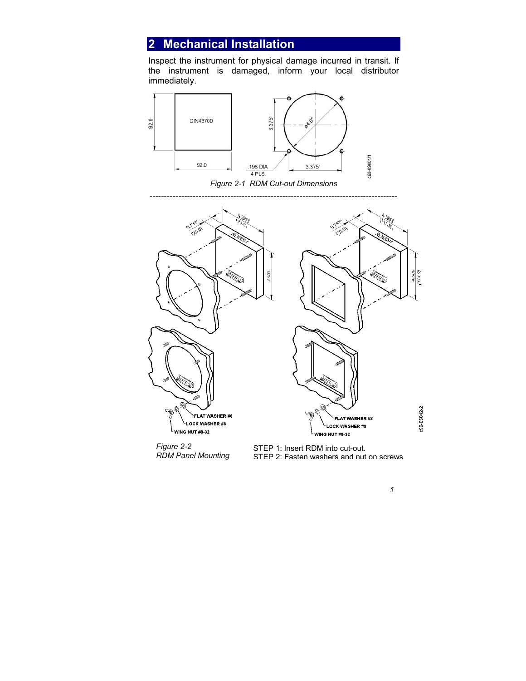# **2 Mechanical Installation**

Inspect the instrument for physical damage incurred in transit. If the instrument is damaged, inform your local distributor immediately.



*Figure 2-1 RDM Cut-out Dimensions* 



*Figure 2-2 RDM Panel Mounting* 

STEP 1: Insert RDM into cut-out. STEP 2: Fasten washers and nut on screws 4.500  $(114.0)$ 

:98-05042-2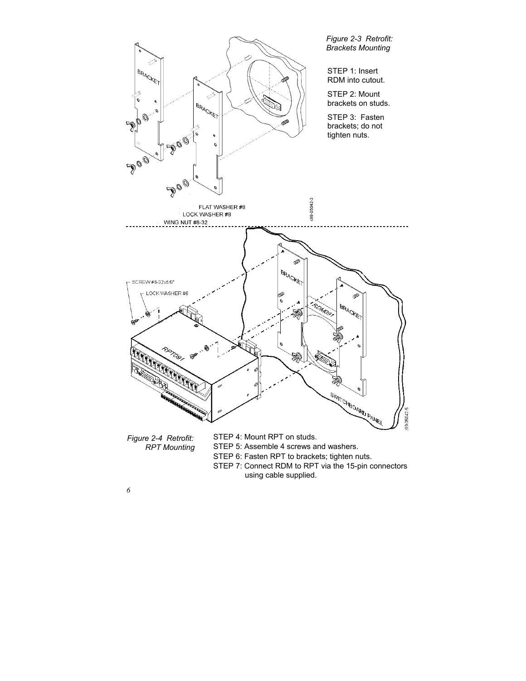

*RPT Mounting*

STEP 5: Assemble 4 screws and washers.

STEP 6: Fasten RPT to brackets; tighten nuts.

STEP 7: Connect RDM to RPT via the 15-pin connectors using cable supplied.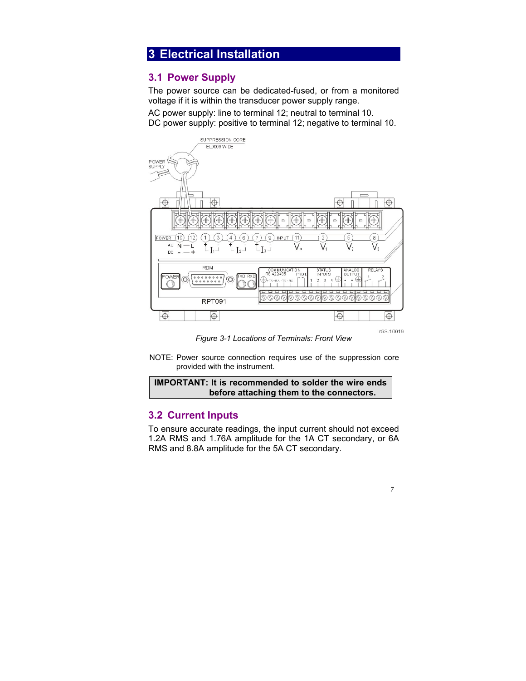# **3 Electrical Installation**

## **3.1 Power Supply**

The power source can be dedicated-fused, or from a monitored voltage if it is within the transducer power supply range.

AC power supply: line to terminal 12; neutral to terminal 10. DC power supply: positive to terminal 12; negative to terminal 10.

![](_page_7_Figure_4.jpeg)

*Figure 3-1 Locations of Terminals: Front View* 

NOTE: Power source connection requires use of the suppression core provided with the instrument.

### **IMPORTANT: It is recommended to solder the wire ends before attaching them to the connectors.**

## **3.2 Current Inputs**

To ensure accurate readings, the input current should not exceed 1.2A RMS and 1.76A amplitude for the 1A CT secondary, or 6A RMS and 8.8A amplitude for the 5A CT secondary.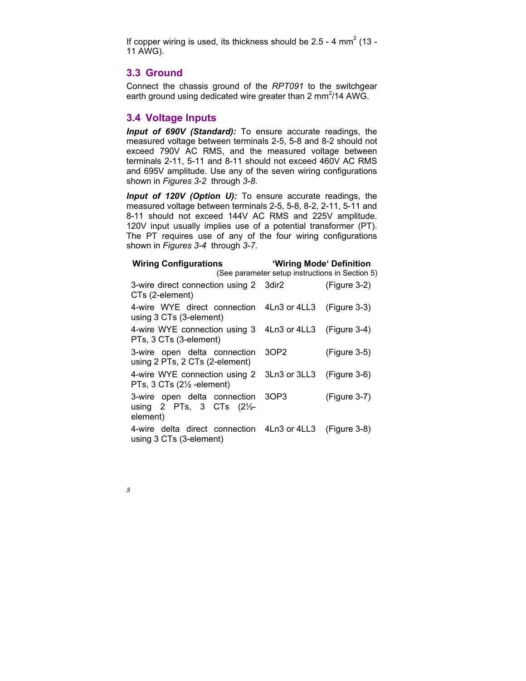If copper wiring is used, its thickness should be  $2.5 - 4$  mm<sup>2</sup> (13 -11 AWG).

## **3.3 Ground**

Connect the chassis ground of the *RPT091* to the switchgear earth ground using dedicated wire greater than 2 mm<sup>2</sup>/14 AWG.

## **3.4 Voltage Inputs**

*Input of 690V (Standard):* To ensure accurate readings, the measured voltage between terminals 2-5, 5-8 and 8-2 should not exceed 790V AC RMS, and the measured voltage between terminals 2-11, 5-11 and 8-11 should not exceed 460V AC RMS and 695V amplitude. Use any of the seven wiring configurations shown in *Figures 3-2* through *3-8*.

*Input of 120V (Option U):* To ensure accurate readings, the measured voltage between terminals 2-5, 5-8, 8-2, 2-11, 5-11 and 8-11 should not exceed 144V AC RMS and 225V amplitude. 120V input usually implies use of a potential transformer (PT). The PT requires use of any of the four wiring configurations shown in *Figures 3-4* through *3-7*.

| <b>Wiring Configurations</b>                                                                               | 'Wiring Mode' Definition                        |                |  |  |
|------------------------------------------------------------------------------------------------------------|-------------------------------------------------|----------------|--|--|
|                                                                                                            | (See parameter setup instructions in Section 5) |                |  |  |
| 3-wire direct connection using 2 3dir2<br>CTs (2-element)                                                  |                                                 | $(Figure 3-2)$ |  |  |
| 4-wire WYE direct connection 4Ln3 or 4LL3 (Figure 3-3)<br>using 3 CTs (3-element)                          |                                                 |                |  |  |
| 4-wire WYE connection using 3 4Ln3 or 4LL3 (Figure 3-4)<br>PTs, 3 CTs (3-element)                          |                                                 |                |  |  |
| 3-wire open delta connection 3OP2<br>using 2 PTs, 2 CTs (2-element)                                        |                                                 | (Figure 3-5)   |  |  |
| 4-wire WYE connection using 2 3Ln3 or 3LL3 (Figure 3-6)<br>PTs, $3 \text{ CTs}$ ( $2\frac{1}{2}$ -element) |                                                 |                |  |  |
| 3-wire open delta connection 3OP3<br>using 2 PTs, 3 CTs $(2\frac{1}{2})$<br>element)                       |                                                 | (Figure 3-7)   |  |  |
| 4-wire delta direct connection 4Ln3 or 4LL3 (Figure 3-8)<br>using 3 CTs (3-element)                        |                                                 |                |  |  |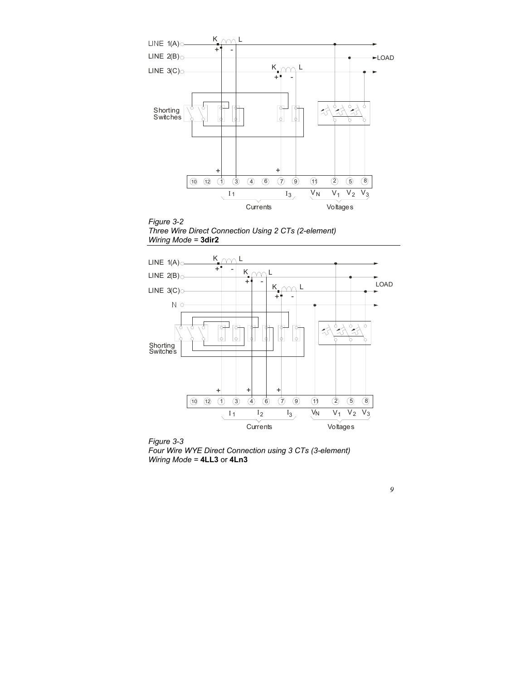![](_page_9_Figure_0.jpeg)

![](_page_9_Figure_1.jpeg)

![](_page_9_Figure_2.jpeg)

![](_page_9_Figure_3.jpeg)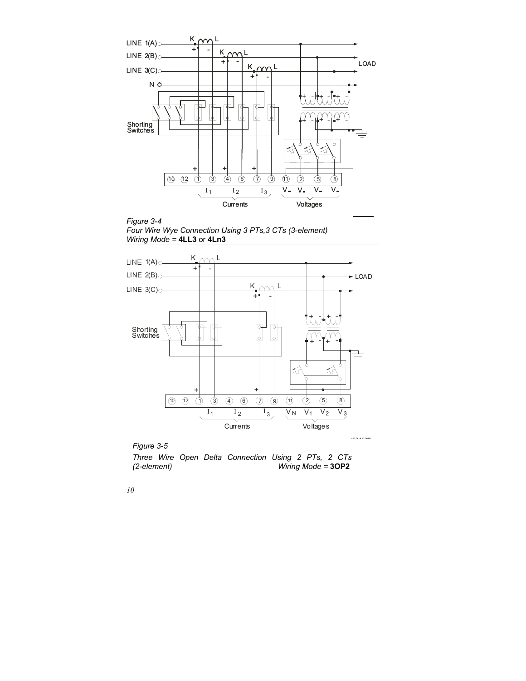![](_page_10_Figure_0.jpeg)

*Figure 3-4 Four Wire Wye Connection Using 3 PTs,3 CTs (3-element) Wiring Mode =* **4LL3** or **4Ln3** 

![](_page_10_Figure_2.jpeg)

![](_page_10_Figure_3.jpeg)

*Three Wire Open Delta Connection Using 2 PTs, 2 CTs (2-element) Wiring Mode =* **3OP2**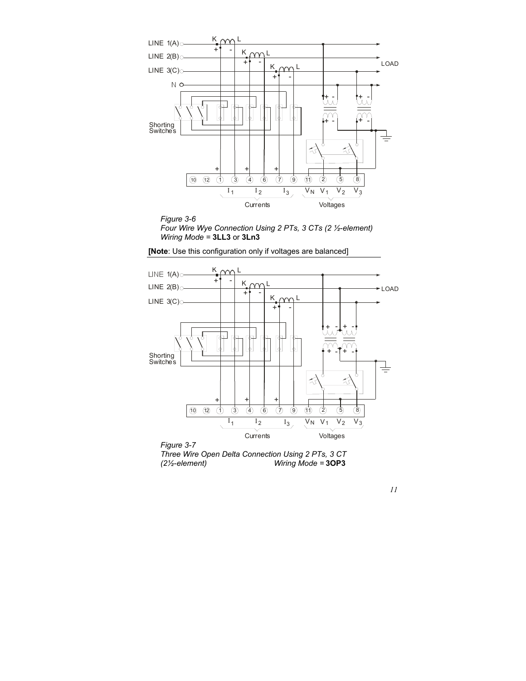![](_page_11_Figure_0.jpeg)

![](_page_11_Figure_1.jpeg)

**[Note**: Use this configuration only if voltages are balanced]

![](_page_11_Figure_3.jpeg)

![](_page_11_Figure_4.jpeg)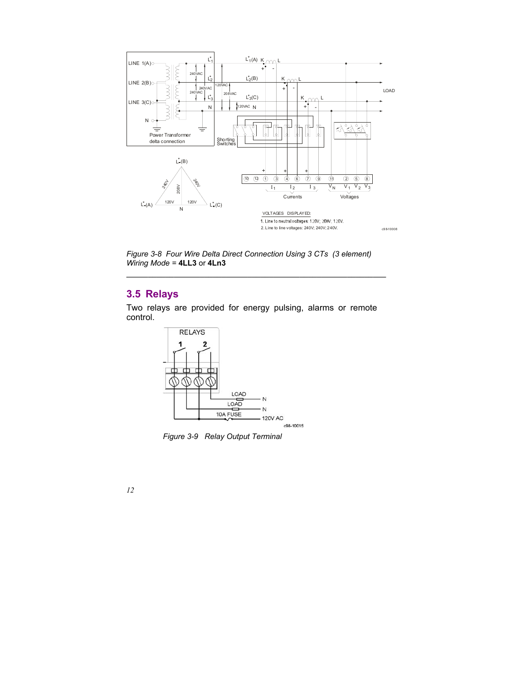![](_page_12_Figure_0.jpeg)

*Figure 3-8 Four Wire Delta Direct Connection Using 3 CTs (3 element) Wiring Mode =* **4LL3** or **4Ln3**

## **3.5 Relays**

Two relays are provided for energy pulsing, alarms or remote control.

![](_page_12_Figure_4.jpeg)

*Figure 3-9 Relay Output Terminal*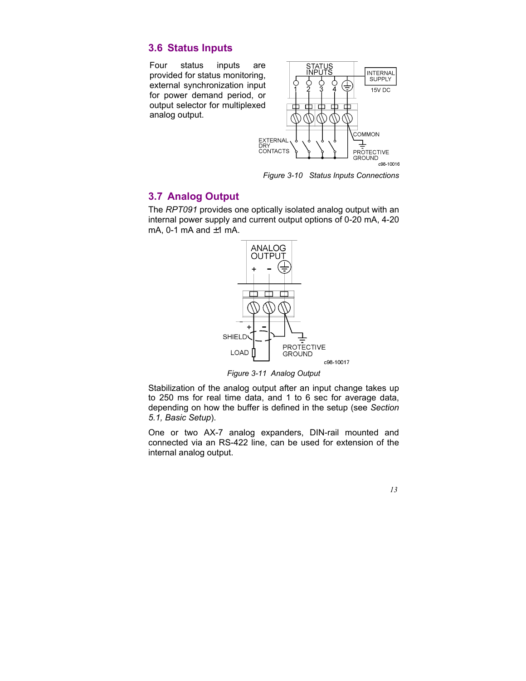### **3.6 Status Inputs**

Four status inputs are provided for status monitoring, external synchronization input for power demand period, or output selector for multiplexed analog output.

![](_page_13_Figure_2.jpeg)

*Figure 3-10 Status Inputs Connections* 

### **3.7 Analog Output**

The *RPT091* provides one optically isolated analog output with an internal power supply and current output options of 0-20 mA, 4-20 mA, 0-1 mA and  $\pm$ 1 mA.

![](_page_13_Figure_6.jpeg)

*Figure 3-11 Analog Output* 

Stabilization of the analog output after an input change takes up to 250 ms for real time data, and 1 to 6 sec for average data, depending on how the buffer is defined in the setup (see *Section 5.1, Basic Setup*).

One or two AX-7 analog expanders, DIN-rail mounted and connected via an RS-422 line, can be used for extension of the internal analog output.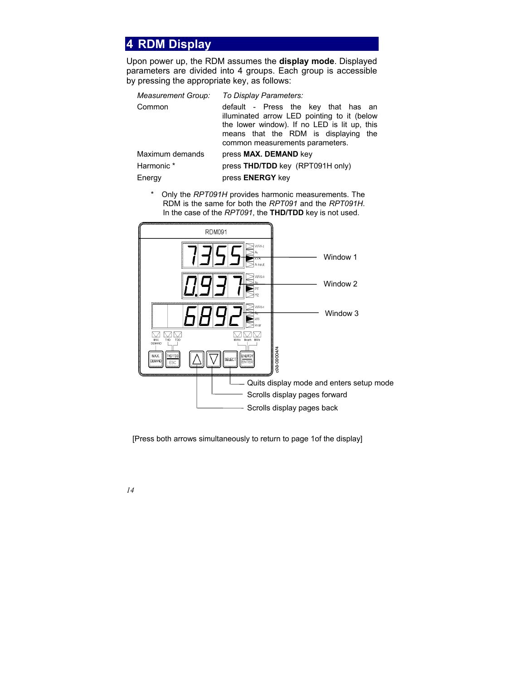## **4 RDM Display**

Upon power up, the RDM assumes the **display mode**. Displayed parameters are divided into 4 groups. Each group is accessible by pressing the appropriate key, as follows:

| Measurement Group: | To Display Parameters:                                                                                                                                                                                           |  |  |  |  |
|--------------------|------------------------------------------------------------------------------------------------------------------------------------------------------------------------------------------------------------------|--|--|--|--|
| Common             | default - Press the key that has an<br>illuminated arrow LED pointing to it (below<br>the lower window). If no LED is lit up, this<br>means that the RDM is displaying<br>the<br>common measurements parameters. |  |  |  |  |
| Maximum demands    | press MAX. DEMAND key                                                                                                                                                                                            |  |  |  |  |
| Harmonic*          | press THD/TDD key (RPT091H only)                                                                                                                                                                                 |  |  |  |  |
| Energy             | press ENERGY key                                                                                                                                                                                                 |  |  |  |  |

\* Only the *RPT091H* provides harmonic measurements. The RDM is the same for both the *RPT091* and the *RPT091H*. In the case of the *RPT091*, the **THD/TDD** key is not used.

![](_page_14_Picture_4.jpeg)

[Press both arrows simultaneously to return to page 1of the display]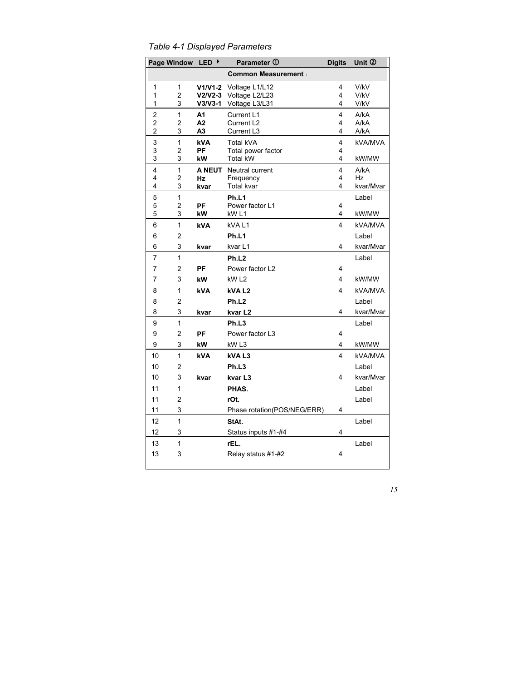*Table 4-1 Displayed Parameters* 

|                                           | <b>Page Window</b>         | <b>LED</b><br>▸  | Parameter 1                          | <b>Digits</b> | Unit 2       |  |
|-------------------------------------------|----------------------------|------------------|--------------------------------------|---------------|--------------|--|
|                                           | <b>Common Measurement:</b> |                  |                                      |               |              |  |
| 1                                         | 1                          | $V1/V1-2$        | Voltage L1/L12                       | 4             | V/kV         |  |
| 1                                         | $\overline{2}$             | $V2N2-3$         | Voltage L2/L23                       | 4             | V/kV         |  |
| 1                                         | 3                          | $V3/V3-1$        | Voltage L3/L31                       | 4             | V/kV         |  |
| $\overline{\mathbf{c}}$                   | $\mathbf{1}$               | A1               | Current L1                           | 4             | A/KA         |  |
| $\overline{\mathbf{c}}$<br>$\overline{c}$ | 2<br>3                     | А2               | Current L <sub>2</sub><br>Current L3 | 4<br>4        | A/KA<br>A/kA |  |
|                                           |                            | А3               |                                      |               |              |  |
| 3<br>3                                    | 1<br>2                     | <b>kVA</b><br>PF | Total kVA<br>Total power factor      | 4<br>4        | kVA/MVA      |  |
| 3                                         | 3                          | kW               | <b>Total kW</b>                      | 4             | kW/MW        |  |
| 4                                         | $\mathbf{1}$               |                  | <b>A NEUT</b> Neutral current        | 4             | A/KA         |  |
| 4                                         | 2                          | Hz               | Frequency                            | 4             | Hz           |  |
| 4                                         | 3                          | kvar             | Total kvar                           | 4             | kvar/Mvar    |  |
| 5                                         | $\mathbf{1}$               |                  | Ph.L1                                |               | Label        |  |
| 5                                         | 2                          | PF               | Power factor L1                      | 4             |              |  |
| 5                                         | 3                          | kW               | kW <sub>L1</sub>                     | 4             | kW/MW        |  |
| 6                                         | $\mathbf{1}$               | <b>kVA</b>       | kVAL1                                | 4             | kVA/MVA      |  |
| 6                                         | 2                          |                  | Ph.L1                                |               | Label        |  |
| 6                                         | 3                          | kvar             | kvar L1                              | 4             | kvar/Mvar    |  |
| $\overline{7}$                            | 1                          |                  | Ph.L <sub>2</sub>                    |               | Label        |  |
| 7                                         | $\overline{c}$             | PF               | Power factor L2                      | 4             |              |  |
| 7                                         | 3                          | kW               | kW <sub>L2</sub>                     | 4             | kW/MW        |  |
| 8                                         | 1                          | <b>kVA</b>       | kVAL <sub>2</sub>                    | 4             | kVA/MVA      |  |
| 8                                         | $\overline{2}$             |                  | Ph.L <sub>2</sub>                    |               | Label        |  |
| 8                                         | 3                          | kvar             | kvar L2                              | 4             | kvar/Mvar    |  |
| 9                                         | 1                          |                  | Ph.L <sub>3</sub>                    |               | Label        |  |
| 9                                         | $\overline{2}$             | PF               | Power factor L3                      | 4             |              |  |
| 9                                         | 3                          | kW               | kW <sub>L3</sub>                     | 4             | kW/MW        |  |
| 10                                        | 1                          | <b>kVA</b>       | <b>kVAL3</b>                         | 4             | kVA/MVA      |  |
| 10                                        | $\overline{2}$             |                  | Ph.L3                                |               | Label        |  |
| 10                                        | 3                          | kvar             | kvar L3                              | 4             | kvar/Mvar    |  |
| 11                                        | 1                          |                  | PHAS.                                |               | Label        |  |
| 11                                        | $\overline{2}$             |                  | rOt.                                 |               | Label        |  |
| 11                                        | 3                          |                  | Phase rotation(POS/NEG/ERR)          | 4             |              |  |
| 12                                        | 1                          |                  | StAt.                                |               | Label        |  |
| 12                                        | 3                          |                  | Status inputs #1-#4                  | 4             |              |  |
| 13                                        | 1                          |                  | rEL.                                 |               | Label        |  |
| 13                                        | 3                          |                  | Relay status #1-#2                   | 4             |              |  |
|                                           |                            |                  |                                      |               |              |  |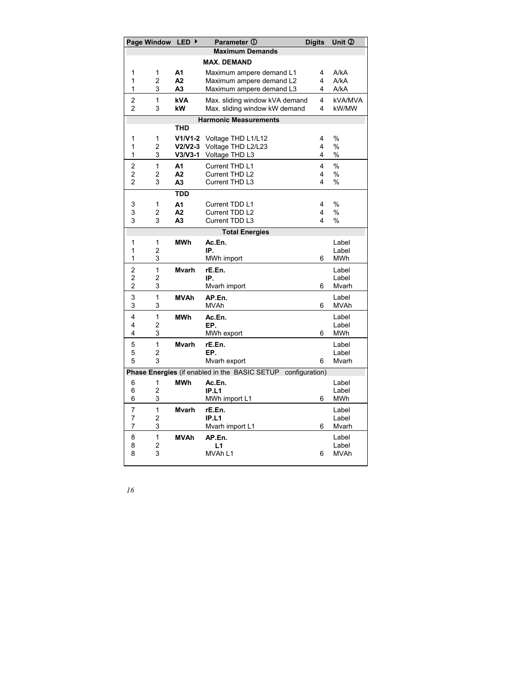|                                                              | Page Window         | LED ▶                  | Parameter ①                              | <b>Digits</b> | Unit 2               |
|--------------------------------------------------------------|---------------------|------------------------|------------------------------------------|---------------|----------------------|
|                                                              |                     |                        | <b>Maximum Demands</b>                   |               |                      |
|                                                              |                     |                        | <b>MAX. DEMAND</b>                       |               |                      |
| 1                                                            | 1                   | A1                     | Maximum ampere demand L1                 | 4             | A/kA                 |
| 1                                                            | 2                   | A2                     | Maximum ampere demand L2                 | 4             | A/ka                 |
| 1                                                            | 3                   | А3                     | Maximum ampere demand L3                 | 4             | A/ka                 |
| 2                                                            | 1                   | <b>kVA</b>             | Max. sliding window kVA demand           | 4             | kVA/MVA              |
| $\overline{2}$                                               | 3                   | kW                     | Max. sliding window kW demand            | 4             | kW/MW                |
|                                                              |                     |                        | <b>Harmonic Measurements</b>             |               |                      |
|                                                              |                     | THD                    |                                          |               |                      |
| 1<br>1                                                       | 1<br>2              | $V1/V1-2$<br>$V2/V2-3$ | Voltage THD L1/L12<br>Voltage THD L2/L23 | 4<br>4        | %<br>%               |
| 1                                                            | 3                   | $V3/V3-1$              | Voltage THD L3                           | 4             | %                    |
| 2                                                            | $\mathbf{1}$        | A <sub>1</sub>         | Current THD L1                           | 4             | $\frac{0}{n}$        |
| $\overline{c}$                                               | $\overline{2}$      | A2                     | Current THD L2                           | 4             | %                    |
| $\overline{c}$                                               | 3                   | A <sub>3</sub>         | Current THD L3                           | 4             | %                    |
|                                                              |                     | <b>TDD</b>             |                                          |               |                      |
| 3                                                            | 1                   | A1                     | Current TDD L1                           | 4             | %                    |
| 3                                                            | 2                   | A2                     | Current TDD L2                           | 4             | %                    |
| 3                                                            | 3                   | A <sub>3</sub>         | Current TDD L3                           | 4             | $\%$                 |
|                                                              |                     |                        | <b>Total Energies</b>                    |               |                      |
| 1                                                            | 1                   | <b>MWh</b>             | Ac.En.                                   |               | Label                |
| 1                                                            | 2                   |                        | IP.                                      |               | Label                |
| 1                                                            | 3                   |                        | MWh import                               | 6             | MWh                  |
| 2                                                            | $\mathbf{1}$        | <b>M</b> varh          | rE.En.                                   |               | Label                |
| $\overline{2}$<br>$\overline{2}$                             | $\overline{2}$<br>3 |                        | IP.                                      | 6             | Label<br>Mvarh       |
|                                                              | $\mathbf{1}$        |                        | Mvarh import                             |               |                      |
| 3<br>3                                                       | 3                   | <b>MVAh</b>            | AP.En.<br>MVAh                           | 6             | Label<br><b>MVAh</b> |
| 4                                                            | 1                   | <b>MWh</b>             | Ac.En.                                   |               | Label                |
| 4                                                            | 2                   |                        | EP.                                      |               | Label                |
| 4                                                            | 3                   |                        | MWh export                               | 6             | <b>MWh</b>           |
| 5                                                            | $\mathbf{1}$        | <b>M</b> varh          | rE.En.                                   |               | Label                |
| 5                                                            | $\overline{2}$      |                        | EP.                                      |               | Label                |
| 5                                                            | 3                   |                        | Mvarh export                             | 6             | Mvarh                |
| Phase Energies (if enabled in the BASIC SETUP configuration) |                     |                        |                                          |               |                      |
| 6                                                            | 1                   | <b>MWh</b>             | Ac.En.                                   |               | Label                |
| 6                                                            | 2                   |                        | IP.L1                                    |               | Label                |
| 6                                                            | 3                   |                        | MWh import L1                            | 6             | MWh                  |
| 7                                                            | 1                   | <b>M</b> varh          | rE.En.                                   |               | Label                |
| 7<br>7                                                       | 2<br>3              |                        | IP.L1<br>Mvarh import L1                 | 6             | Label<br>Mvarh       |
| 8                                                            | 1                   | <b>MVAh</b>            | AP.En.                                   |               | Label                |
| 8                                                            | 2                   |                        | L1                                       |               | Label                |
| 8                                                            | 3                   |                        | MVAh L1                                  | 6             | MVAh                 |
|                                                              |                     |                        |                                          |               |                      |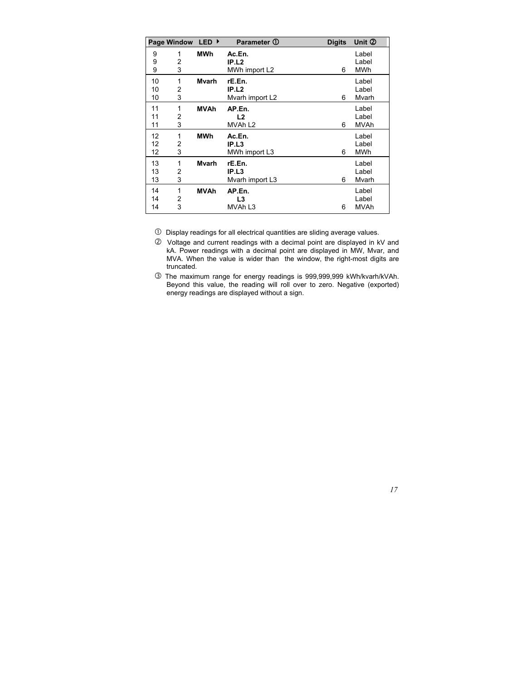|    | Page Window | LED ▶         | Parameter 1         | <b>Digits</b> | Unit 2      |
|----|-------------|---------------|---------------------|---------------|-------------|
| 9  | 1           | MWh           | Ac.En.              |               | Label       |
| 9  | 2           |               | IP.L2               |               | Label       |
| 9  | 3           |               | MWh import L2       | 6             | <b>MWh</b>  |
| 10 | 1           | <b>M</b> varh | rE.En.              |               | Label       |
| 10 | 2           |               | IP.L2               |               | Label       |
| 10 | 3           |               | Mvarh import L2     | 6             | Mvarh       |
| 11 | 1           | <b>MVAh</b>   | AP.En.              |               | Label       |
| 11 | 2           |               | L2                  |               | Label       |
| 11 | 3           |               | MVAh L <sub>2</sub> | 6             | <b>MVAh</b> |
| 12 | 1           | <b>MWh</b>    | Ac.En.              |               | Label       |
| 12 | 2           |               | IP.L <sub>3</sub>   |               | Label       |
| 12 | 3           |               | MWh import L3       | 6             | <b>MWh</b>  |
| 13 | 1           | Mvarh         | rE.En.              |               | Label       |
| 13 | 2           |               | IP.L3               |               | Label       |
| 13 | 3           |               | Mvarh import L3     | 6             | Mvarh       |
| 14 | 1           | <b>MVAh</b>   | AP.En.              |               | Label       |
| 14 | 2           |               | L3                  |               | Label       |
| 14 | 3           |               | MVAh L3             | 6             | <b>MVAh</b> |

 $\overline{0}$  Display readings for all electrical quantities are sliding average values.

- d Voltage and current readings with a decimal point are displayed in kV and kA. Power readings with a decimal point are displayed in MW, Mvar, and MVA. When the value is wider than the window, the right-most digits are truncated.
- e The maximum range for energy readings is 999,999,999 kWh/kvarh/kVAh. Beyond this value, the reading will roll over to zero. Negative (exported) energy readings are displayed without a sign.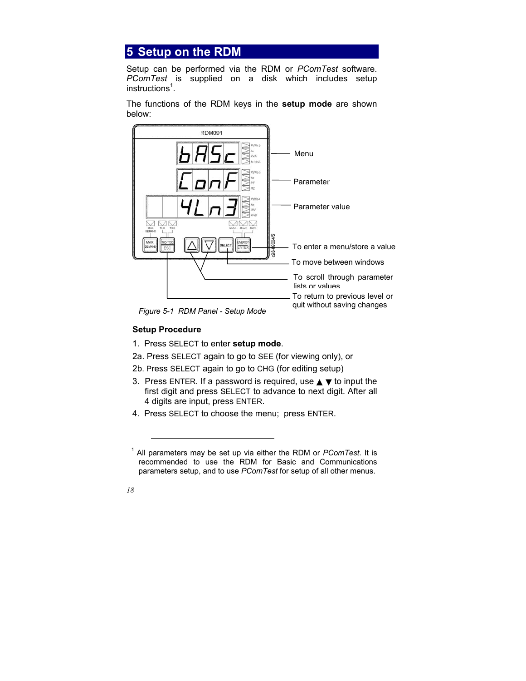# **5 Setup on the RDM**

Setup can be performed via the RDM or *PComTest* software. *PComTest* is supplied on a disk which includes setup instructions<sup>1</sup>.

The functions of the RDM keys in the **setup mode** are shown below:

![](_page_18_Figure_3.jpeg)

*Figure 5-1 RDM Panel - Setup Mode* 

### **Setup Procedure**

- 1. Press SELECT to enter **setup mode**.
- 2a. Press SELECT again to go to SEE (for viewing only), or
- 2b. Press SELECT again to go to CHG (for editing setup)
- 3. Press ENTER. If a password is required, use  $\triangle \blacktriangledown$  to input the first digit and press SELECT to advance to next digit. After all 4 digits are input, press ENTER.
- 4. Press SELECT to choose the menu; press ENTER.

 $\overline{a}$ 

<sup>1</sup> All parameters may be set up via either the RDM or *PComTest*. It is recommended to use the RDM for Basic and Communications parameters setup, and to use *PComTest* for setup of all other menus.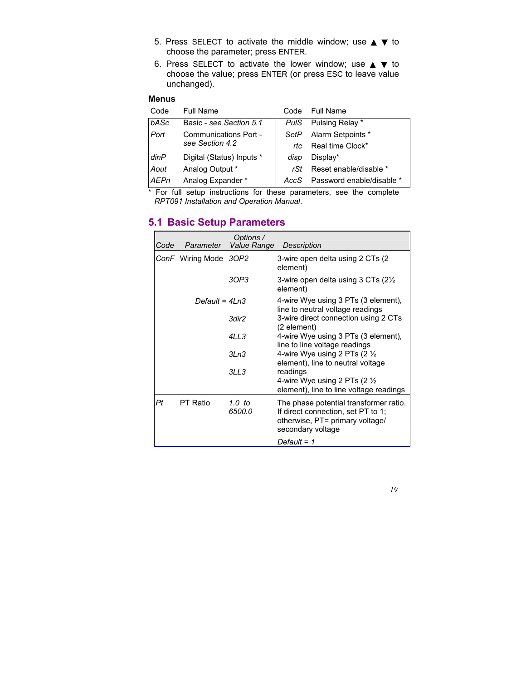- 5. Press SELECT to activate the middle window; use  $\blacktriangle \blacktriangledown$  to choose the parameter; press ENTER.
- 6. Press SELECT to activate the lower window; use  $\blacktriangle \blacktriangledown$  to choose the value; press ENTER (or press ESC to leave value unchanged).

#### **Menus**

| Code        | <b>Full Name</b>          | Code        | Full Name                 |
|-------------|---------------------------|-------------|---------------------------|
| bASc        | Basic - see Section 5.1   | <b>PulS</b> | Pulsing Relay *           |
| Port        | Communications Port -     | SetP        | Alarm Setpoints *         |
|             | see Section 4.2           | rtc.        | Real time Clock*          |
| dimP        | Digital (Status) Inputs * | disp        | Display*                  |
| Aout        | Analog Output *           | rSt         | Reset enable/disable *    |
| <b>AEPn</b> | Analog Expander *         | AccS        | Password enable/disable * |

\* For full setup instructions for these parameters, see the complete *RPT091 Installation and Operation Manual*.

## **5.1 Basic Setup Parameters**

| Code | Parameter             | Ontions /<br>Value Range | <b>Description</b>                                                                                                                   |
|------|-----------------------|--------------------------|--------------------------------------------------------------------------------------------------------------------------------------|
|      | ConF Wiring Mode 3OP2 |                          | 3-wire open delta using 2 CTs (2)<br>element)                                                                                        |
|      |                       | 3OP3                     | 3-wire open delta using 3 CTs $(2\frac{1}{2})$<br>element)                                                                           |
|      | Default = $4Ln3$      |                          | 4-wire Wye using 3 PTs (3 element),<br>line to neutral voltage readings                                                              |
|      |                       | 3dir2                    | 3-wire direct connection using 2 CTs<br>(2 element)                                                                                  |
|      |                       | 4LL3                     | 4-wire Wye using 3 PTs (3 element),<br>line to line voltage readings                                                                 |
|      |                       | 3Ln3                     | 4-wire Wye using 2 PTs (2 1/2<br>element), line to neutral voltage                                                                   |
|      |                       | 3LL3                     | readings<br>4-wire Wye using 2 PTs (2 $\frac{1}{2}$                                                                                  |
|      |                       |                          | element), line to line voltage readings                                                                                              |
| Ρt   | PT Ratio              | 1.0 to<br>6500.0         | The phase potential transformer ratio.<br>If direct connection, set PT to 1;<br>otherwise, PT= primary voltage/<br>secondary voltage |
|      |                       |                          | Default = 1                                                                                                                          |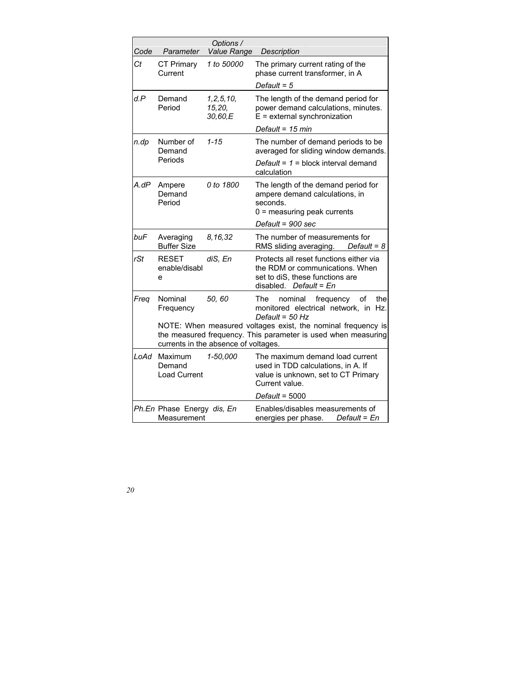| Code | Parameter                                 | Options /<br><b>Value Range</b>      | Description                                                                                                                               |
|------|-------------------------------------------|--------------------------------------|-------------------------------------------------------------------------------------------------------------------------------------------|
| Сt   | <b>CT Primary</b><br>Current              | 1 to 50000                           | The primary current rating of the<br>phase current transformer, in A                                                                      |
|      |                                           |                                      | Default = $5$                                                                                                                             |
| d.P  | Demand<br>Period                          | 1, 2, 5, 10,<br>15,20,<br>30,60,E    | The length of the demand period for<br>power demand calculations, minutes.<br>$E =$ external synchronization                              |
|      |                                           |                                      | Default = 15 min                                                                                                                          |
| n.dp | Number of<br>Demand                       | $1 - 15$                             | The number of demand periods to be<br>averaged for sliding window demands.                                                                |
|      | Periods                                   |                                      | Default = $1$ = block interval demand<br>calculation                                                                                      |
| A.dP | Ampere<br>Demand<br>Period                | 0 to 1800                            | The length of the demand period for<br>ampere demand calculations, in<br>seconds.<br>$0 =$ measuring peak currents                        |
|      |                                           |                                      | Default = 900 sec                                                                                                                         |
| buF  | Averaging<br><b>Buffer Size</b>           | 8,16,32                              | The number of measurements for<br>Default = $8$<br>RMS sliding averaging.                                                                 |
| rSt  | <b>RESET</b><br>enable/disabl<br>e        | diS, En                              | Protects all reset functions either via<br>the RDM or communications. When<br>set to diS, these functions are<br>disabled. Default = $En$ |
| Freq | Nominal<br>Frequency                      | 50, 60                               | The<br>nominal<br>frequency<br>οf<br>the<br>monitored electrical network, in<br>Hz.<br>Default = $50$ Hz                                  |
|      |                                           | currents in the absence of voltages. | NOTE: When measured voltages exist, the nominal frequency is<br>the measured frequency. This parameter is used when measuring             |
| LoAd | Maximum<br>Demand<br><b>Load Current</b>  | 1-50,000                             | The maximum demand load current<br>used in TDD calculations, in A. If<br>value is unknown, set to CT Primary<br>Current value.            |
|      |                                           |                                      | $Default = 5000$                                                                                                                          |
|      | Ph.En Phase Energy dis, En<br>Measurement |                                      | Enables/disables measurements of<br>energies per phase. Default = En                                                                      |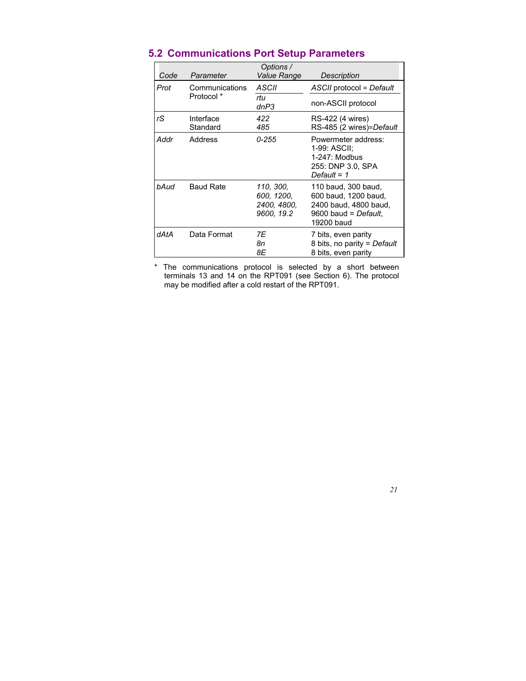| Code | Parameter             | Options /<br>Value Range                             | Description                                                                                                  |
|------|-----------------------|------------------------------------------------------|--------------------------------------------------------------------------------------------------------------|
| Prot | Communications        | ASCII                                                | ASCII protocol = Default                                                                                     |
|      | Protocol *            | rtu<br>dnP3                                          | non-ASCII protocol                                                                                           |
| rS   | Interface<br>Standard | 422<br>485                                           | RS-422 (4 wires)<br>RS-485 (2 wires)=Default                                                                 |
| Addr | Address               | $0 - 255$                                            | Powermeter address:<br>1-99: ASCII:<br>$1-247$ : Modbus<br>255: DNP 3.0. SPA<br>Default = $1$                |
| bAud | <b>Baud Rate</b>      | 110, 300,<br>600, 1200,<br>2400, 4800,<br>9600, 19.2 | 110 baud, 300 baud,<br>600 baud, 1200 baud,<br>2400 baud, 4800 baud,<br>$9600$ baud = Default.<br>19200 baud |
| dAtA | Data Format           | 7E<br>8n<br>8Ε                                       | 7 bits, even parity<br>8 bits, no parity = Default<br>8 bits, even parity                                    |

## **5.2 Communications Port Setup Parameters**

\* The communications protocol is selected by a short between terminals 13 and 14 on the RPT091 (see Section 6). The protocol may be modified after a cold restart of the RPT091.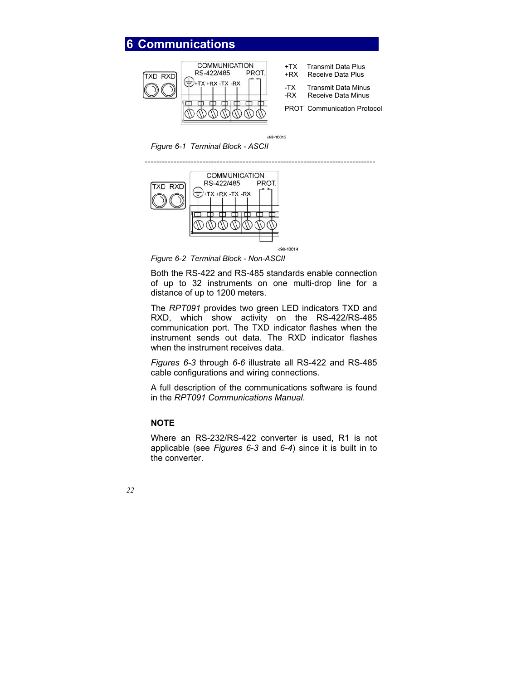#### **6 Communications COMMUNICATION** +TX Transmit Data Plus RS-422/485 PROT. Receive Data Plus **TXD RXD** TX +RX -TX -RX -TX Transmit Data Minus -RX Receive Data Minus PROT Communication Protocol

c98-10013

*Figure 6-1 Terminal Block - ASCII* 

![](_page_22_Figure_3.jpeg)

*Figure 6-2 Terminal Block - Non-ASCII* 

Both the RS-422 and RS-485 standards enable connection of up to 32 instruments on one multi-drop line for a distance of up to 1200 meters.

The *RPT091* provides two green LED indicators TXD and RXD, which show activity on the RS-422/RS-485 communication port. The TXD indicator flashes when the instrument sends out data. The RXD indicator flashes when the instrument receives data.

*Figures 6-3* through *6-6* illustrate all RS-422 and RS-485 cable configurations and wiring connections.

A full description of the communications software is found in the *RPT091 Communications Manual*.

### **NOTE**

Where an RS-232/RS-422 converter is used, R1 is not applicable (see *Figures 6-3* and *6-4*) since it is built in to the converter.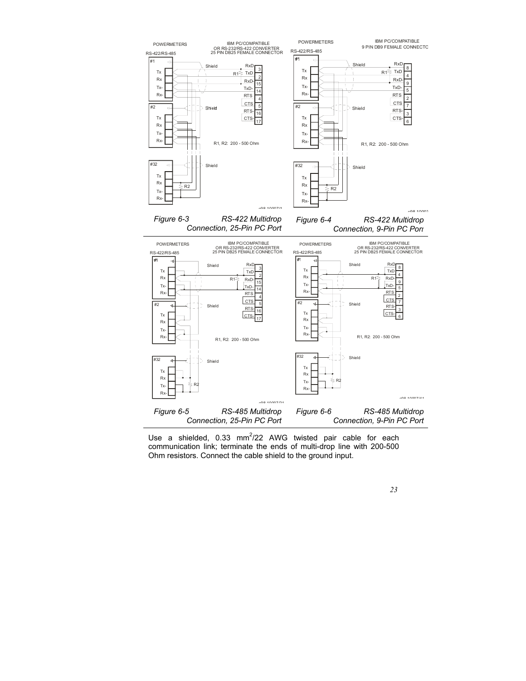![](_page_23_Figure_0.jpeg)

Use a shielded,  $0.33 \, \text{mm}^2/22$  AWG twisted pair cable for each communication link; terminate the ends of multi-drop line with 200-500 Ohm resistors. Connect the cable shield to the ground input.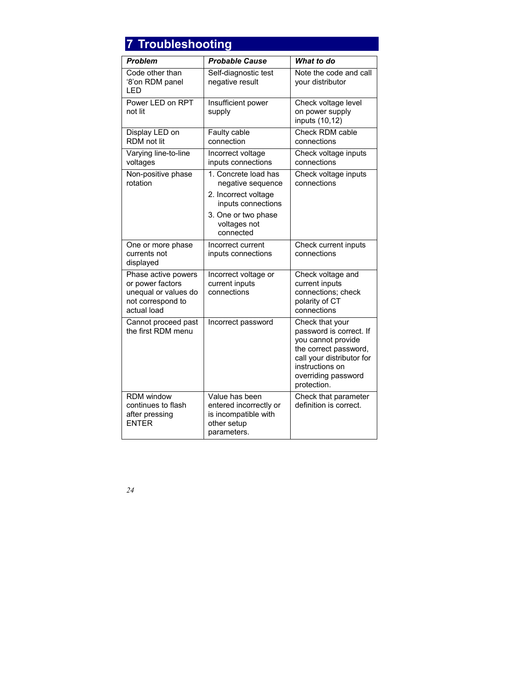# **7 Troubleshooting**

| <b>Problem</b>                                                                                      | <b>Probable Cause</b>                                                                          | What to do                                                                                                                                                                      |
|-----------------------------------------------------------------------------------------------------|------------------------------------------------------------------------------------------------|---------------------------------------------------------------------------------------------------------------------------------------------------------------------------------|
| Code other than<br>'8'on RDM panel<br>LED                                                           | Self-diagnostic test<br>negative result                                                        | Note the code and call<br>your distributor                                                                                                                                      |
| Power LED on RPT<br>not lit                                                                         | Insufficient power<br>supply                                                                   | Check voltage level<br>on power supply<br>inputs (10,12)                                                                                                                        |
| Display LED on<br>RDM not lit                                                                       | Faulty cable<br>connection                                                                     | Check RDM cable<br>connections                                                                                                                                                  |
| Varying line-to-line<br>voltages                                                                    | Incorrect voltage<br>inputs connections                                                        | Check voltage inputs<br>connections                                                                                                                                             |
| Non-positive phase<br>rotation                                                                      | 1. Concrete load has<br>negative sequence<br>2. Incorrect voltage<br>inputs connections        | Check voltage inputs<br>connections                                                                                                                                             |
|                                                                                                     | 3. One or two phase<br>voltages not<br>connected                                               |                                                                                                                                                                                 |
| One or more phase<br>currents not<br>displayed                                                      | Incorrect current<br>inputs connections                                                        | Check current inputs<br>connections                                                                                                                                             |
| Phase active powers<br>or power factors<br>unequal or values do<br>not correspond to<br>actual load | Incorrect voltage or<br>current inputs<br>connections                                          | Check voltage and<br>current inputs<br>connections; check<br>polarity of CT<br>connections                                                                                      |
| Cannot proceed past<br>the first RDM menu                                                           | Incorrect password                                                                             | Check that your<br>password is correct. If<br>you cannot provide<br>the correct password,<br>call your distributor for<br>instructions on<br>overriding password<br>protection. |
| <b>RDM</b> window<br>continues to flash<br>after pressing<br><b>FNTFR</b>                           | Value has been<br>entered incorrectly or<br>is incompatible with<br>other setup<br>parameters. | Check that parameter<br>definition is correct.                                                                                                                                  |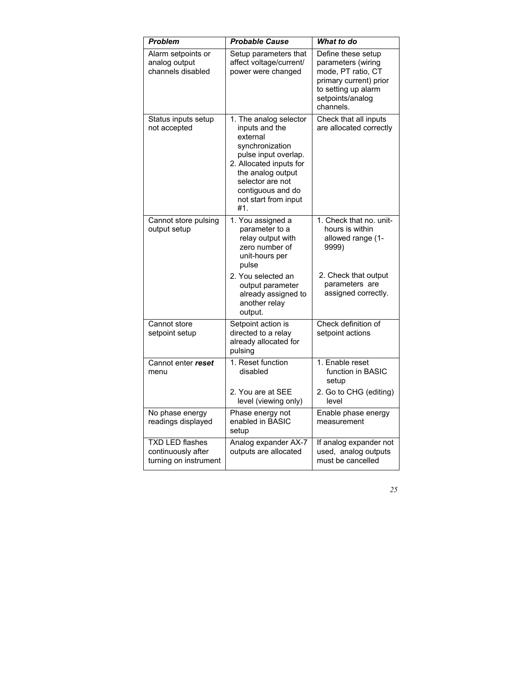| <b>Problem</b>                                                        | <b>Probable Cause</b>                                                                                                                                                                                                   | What to do                                                                                                                                       |
|-----------------------------------------------------------------------|-------------------------------------------------------------------------------------------------------------------------------------------------------------------------------------------------------------------------|--------------------------------------------------------------------------------------------------------------------------------------------------|
| Alarm setpoints or<br>analog output<br>channels disabled              | Setup parameters that<br>affect voltage/current/<br>power were changed                                                                                                                                                  | Define these setup<br>parameters (wiring<br>mode, PT ratio, CT<br>primary current) prior<br>to setting up alarm<br>setpoints/analog<br>channels. |
| Status inputs setup<br>not accepted                                   | 1. The analog selector<br>inputs and the<br>external<br>synchronization<br>pulse input overlap.<br>2. Allocated inputs for<br>the analog output<br>selector are not<br>contiguous and do<br>not start from input<br>#1. | Check that all inputs<br>are allocated correctly                                                                                                 |
| Cannot store pulsing<br>output setup                                  | 1. You assigned a<br>parameter to a<br>relay output with<br>zero number of<br>unit-hours per<br>pulse                                                                                                                   | 1. Check that no. unit-<br>hours is within<br>allowed range (1-<br>9999)                                                                         |
|                                                                       | 2. You selected an<br>output parameter<br>already assigned to<br>another relay<br>output.                                                                                                                               | 2. Check that output<br>parameters are<br>assigned correctly.                                                                                    |
| Cannot store<br>setpoint setup                                        | Setpoint action is<br>directed to a relay<br>already allocated for<br>pulsing                                                                                                                                           | Check definition of<br>setpoint actions                                                                                                          |
| Cannot enter reset<br>menu                                            | 1. Reset function<br>disabled                                                                                                                                                                                           | 1. Enable reset<br>function in BASIC<br>setup                                                                                                    |
|                                                                       | 2. You are at SEE<br>level (viewing only)                                                                                                                                                                               | 2. Go to CHG (editing)<br>level                                                                                                                  |
| No phase energy<br>readings displayed                                 | Phase energy not<br>enabled in BASIC<br>setup                                                                                                                                                                           | Enable phase energy<br>measurement                                                                                                               |
| <b>TXD LED flashes</b><br>continuously after<br>turning on instrument | Analog expander AX-7<br>outputs are allocated                                                                                                                                                                           | If analog expander not<br>used, analog outputs<br>must be cancelled                                                                              |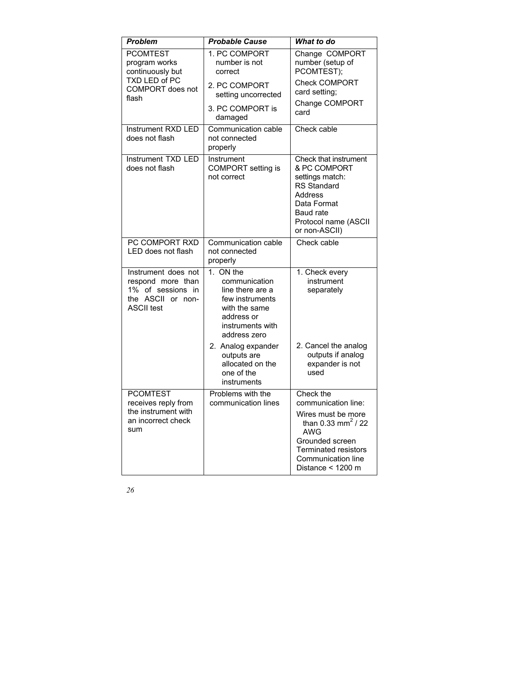| <b>Problem</b>                                                                                             | <b>Probable Cause</b>                                                                                                                | What to do                                                                                                                                                                                          |  |  |  |
|------------------------------------------------------------------------------------------------------------|--------------------------------------------------------------------------------------------------------------------------------------|-----------------------------------------------------------------------------------------------------------------------------------------------------------------------------------------------------|--|--|--|
| <b>PCOMTEST</b><br>program works<br>continuously but                                                       | 1. PC COMPORT<br>number is not<br>correct                                                                                            | Change COMPORT<br>number (setup of<br>PCOMTEST);                                                                                                                                                    |  |  |  |
| TXD LED of PC<br>COMPORT does not<br>flash                                                                 | 2. PC COMPORT<br>setting uncorrected                                                                                                 | <b>Check COMPORT</b><br>card setting;                                                                                                                                                               |  |  |  |
|                                                                                                            | 3. PC COMPORT is<br>damaged                                                                                                          | Change COMPORT<br>card                                                                                                                                                                              |  |  |  |
| Instrument RXD LED<br>does not flash                                                                       | Communication cable<br>not connected<br>properly                                                                                     | Check cable                                                                                                                                                                                         |  |  |  |
| Instrument TXD LED<br>does not flash                                                                       | Instrument<br>COMPORT setting is<br>not correct                                                                                      | Check that instrument<br>& PC COMPORT<br>settings match:<br><b>RS Standard</b><br>Address<br>Data Format<br>Baud rate<br>Protocol name (ASCII<br>or non-ASCII)                                      |  |  |  |
| PC COMPORT RXD<br>LED does not flash                                                                       | Communication cable<br>not connected<br>properly                                                                                     | Check cable                                                                                                                                                                                         |  |  |  |
| Instrument does not<br>respond more than<br>1% of sessions in<br>the<br>ASCII or non-<br><b>ASCII test</b> | 1. ON the<br>communication<br>line there are a<br>few instruments<br>with the same<br>address or<br>instruments with<br>address zero | 1. Check every<br>instrument<br>separately                                                                                                                                                          |  |  |  |
|                                                                                                            | 2. Analog expander<br>outputs are<br>allocated on the<br>one of the<br>instruments                                                   | 2. Cancel the analog<br>outputs if analog<br>expander is not<br>used                                                                                                                                |  |  |  |
| <b>PCOMTEST</b><br>receives reply from<br>the instrument with<br>an incorrect check<br>sum                 | Problems with the<br>communication lines                                                                                             | Check the<br>communication line:<br>Wires must be more<br>than 0.33 mm <sup>2</sup> / 22<br><b>AWG</b><br>Grounded screen<br><b>Terminated resistors</b><br>Communication line<br>Distance < 1200 m |  |  |  |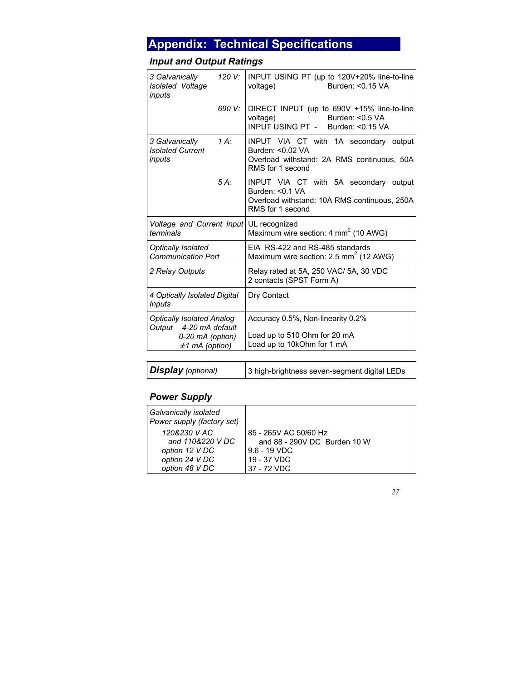# **Appendix: Technical Specifications**

## *Input and Output Ratings*

| 3 Galvanically<br>Isolated Voltage<br>inputs               | 120 V:  | INPUT USING PT (up to 120V+20% line-to-line<br>Burden: < 0.15 VA<br>voltage)                                                    |  |  |
|------------------------------------------------------------|---------|---------------------------------------------------------------------------------------------------------------------------------|--|--|
|                                                            | 690 V:  | DIRECT INPUT (up to 690V +15% line-to-line<br>Burden: <0.5 VA<br>voltage)<br>INPUT USING PT - Burden: < 0.15 VA                 |  |  |
| 3 Galvanically<br><b>Isolated Current</b><br>inputs        | $1 A$ : | INPUT VIA CT with 1A secondary output<br>Burden: <0.02 VA<br>Overload withstand: 2A RMS continuous, 50A<br>RMS for 1 second     |  |  |
|                                                            | $5A$ :  | INPUT VIA CT with 5A secondary output<br>Burden: $< 0.1 VA$<br>Overload withstand: 10A RMS continuous, 250A<br>RMS for 1 second |  |  |
| Voltage and Current Input UL recognized<br>terminals       |         | Maximum wire section: 4 $mm2$ (10 AWG)                                                                                          |  |  |
| <b>Optically Isolated</b><br><b>Communication Port</b>     |         | EIA RS-422 and RS-485 standards<br>Maximum wire section: 2.5 mm <sup>2</sup> (12 AWG)                                           |  |  |
| 2 Relay Outputs                                            |         | Relay rated at 5A, 250 VAC/ 5A, 30 VDC<br>2 contacts (SPST Form A)                                                              |  |  |
| 4 Optically Isolated Digital<br><b>Inputs</b>              |         | Dry Contact                                                                                                                     |  |  |
| <b>Optically Isolated Analog</b><br>Output 4-20 mA default |         | Accuracy 0.5%, Non-linearity 0.2%                                                                                               |  |  |
| 0-20 mA (option)<br>$±1$ mA (option)                       |         | Load up to 510 Ohm for 20 mA<br>Load up to 10kOhm for 1 mA                                                                      |  |  |

| <b>Display</b> (optional)<br>3 high-brightness seven-segment digital LEDs |
|---------------------------------------------------------------------------|
|---------------------------------------------------------------------------|

## *Power Supply*

| Galvanically isolated<br>Power supply (factory set) |                              |
|-----------------------------------------------------|------------------------------|
| 120&230 V AC                                        | 85 - 265V AC 50/60 Hz        |
| and 110&220 V DC                                    | and 88 - 290V DC Burden 10 W |
| option 12 V DC                                      | $9.6 - 19$ VDC               |
| option 24 V DC                                      | 19 - 37 VDC                  |
| option 48 V DC                                      | 37 - 72 VDC                  |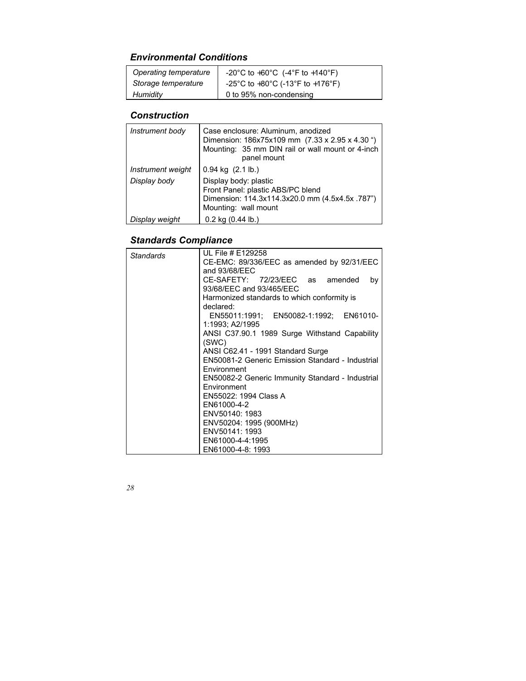## *Environmental Conditions*

| Operating temperature | -20°C to +60°C (-4°F to +140°F)  |
|-----------------------|----------------------------------|
| Storage temperature   | -25°C to +80°C (-13°F to +176°F) |
| Humidity              | 0 to 95% non-condensing          |

## *Construction*

| Instrument body   | Case enclosure: Aluminum, anodized<br>Dimension: 186x75x109 mm (7.33 x 2.95 x 4.30 ")<br>Mounting: 35 mm DIN rail or wall mount or 4-inch<br>panel mount |
|-------------------|----------------------------------------------------------------------------------------------------------------------------------------------------------|
| Instrument weight | $0.94$ kg $(2.1$ lb.)                                                                                                                                    |
| Display body      | Display body: plastic<br>Front Panel: plastic ABS/PC blend<br>Dimension: 114.3x114.3x20.0 mm (4.5x4.5x .787")<br>Mounting: wall mount                    |
| Display weight    | $0.2$ kg $(0.44$ lb.)                                                                                                                                    |

## *Standards Compliance*

| <b>Standards</b> | UL File # E129258                                |  |  |  |  |  |  |
|------------------|--------------------------------------------------|--|--|--|--|--|--|
|                  | CE-EMC: 89/336/EEC as amended by 92/31/EEC       |  |  |  |  |  |  |
|                  | and 93/68/EEC                                    |  |  |  |  |  |  |
|                  | CE-SAFETY: 72/23/EEC as amended<br>by            |  |  |  |  |  |  |
|                  | 93/68/EEC and 93/465/EEC                         |  |  |  |  |  |  |
|                  | Harmonized standards to which conformity is      |  |  |  |  |  |  |
|                  | declared:                                        |  |  |  |  |  |  |
|                  | EN55011:1991; EN50082-1:1992; EN61010-           |  |  |  |  |  |  |
|                  | 1:1993; A2/1995                                  |  |  |  |  |  |  |
|                  | ANSI C37.90.1 1989 Surge Withstand Capability    |  |  |  |  |  |  |
|                  | (SWC)                                            |  |  |  |  |  |  |
|                  | ANSI C62.41 - 1991 Standard Surge                |  |  |  |  |  |  |
|                  | EN50081-2 Generic Emission Standard - Industrial |  |  |  |  |  |  |
|                  | Environment                                      |  |  |  |  |  |  |
|                  | EN50082-2 Generic Immunity Standard - Industrial |  |  |  |  |  |  |
|                  | Environment                                      |  |  |  |  |  |  |
|                  | EN55022: 1994 Class A                            |  |  |  |  |  |  |
|                  | EN61000-4-2                                      |  |  |  |  |  |  |
|                  | ENV50140: 1983                                   |  |  |  |  |  |  |
|                  | ENV50204: 1995 (900MHz)                          |  |  |  |  |  |  |
|                  | ENV50141: 1993                                   |  |  |  |  |  |  |
|                  | EN61000-4-4:1995                                 |  |  |  |  |  |  |
|                  | EN61000-4-8: 1993                                |  |  |  |  |  |  |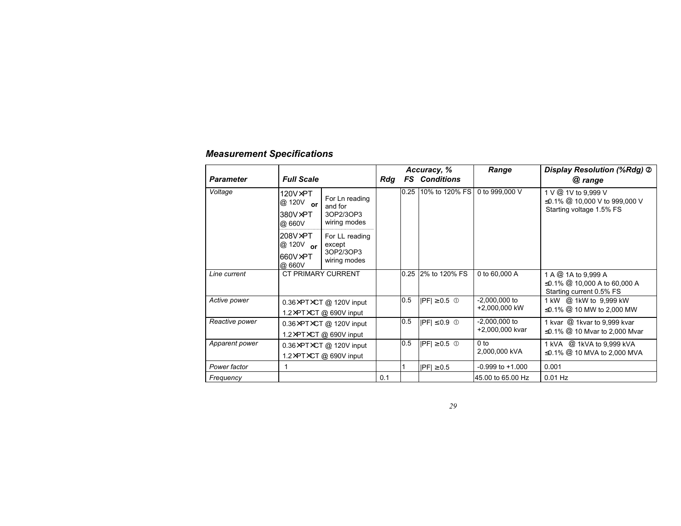|                  |                                                   |                                                                    | Accuracy, % |      |                      | Range                              | Display Resolution (%Rdg) 2                                                       |
|------------------|---------------------------------------------------|--------------------------------------------------------------------|-------------|------|----------------------|------------------------------------|-----------------------------------------------------------------------------------|
| <b>Parameter</b> | <b>Full Scale</b>                                 |                                                                    | Rda         |      | <b>FS</b> Conditions |                                    | @ range                                                                           |
| Voltage          | $120V\times PT$<br>@ 120V or<br>380V×PT<br>@ 660V | For Ln reading<br>and for<br>3OP2/3OP3<br>wiring modes             |             | 0.25 | 10% to 120% FS       | 0 to 999,000 V                     | 1 V @ 1V to 9,999 V<br>≤0.1% @ 10,000 V to 999,000 V<br>Starting voltage 1.5% FS  |
|                  | $208V\times PT$<br>@ 120V or<br>660V×PT<br>@ 660V | For LL reading<br>except<br>3OP2/3OP3<br>wiring modes              |             |      |                      |                                    |                                                                                   |
| Line current     | CT PRIMARY CURRENT                                |                                                                    |             |      | 0.25 2% to 120% FS   | 0 to 60,000 A                      | 1 A @ 1A to 9,999 A<br>≤0.1% $@$ 10,000 A to 60,000 A<br>Starting current 0.5% FS |
| Active power     |                                                   | 0.36×PT×CT @ 120V input<br>1.2×PT×CT @ 690V input                  |             | 0.5  | $ PF  \geq 0.5$ 0    | $-2,000,000$ to<br>+2.000.000 kW   | 1 kW @ 1kW to 9,999 kW<br>≤0.1% $@$ 10 MW to 2,000 MW                             |
| Reactive power   |                                                   | 0.36×PT×CT @ 120V input<br>1.2×PT×CT @ 690V input                  |             | 0.5  | $ PF  \leq 0.9$ 0    | $-2,000,000$ to<br>+2,000,000 kvar | 1 kvar @ 1kvar to 9,999 kvar<br>$\leq$ 0.1% $\circledR$ 10 Mvar to 2,000 Mvar     |
| Apparent power   |                                                   | $0.36\times$ PT $\times$ CT @ 120V input<br>1.2×PT×CT @ 690V input |             | 0.5  | $ PF  \geq 0.5$ 0    | 0 <sub>to</sub><br>2,000,000 kVA   | 1 kVA @ 1kVA to 9,999 kVA<br>≤0.1% $@$ 10 MVA to 2,000 MVA                        |
| Power factor     |                                                   |                                                                    |             |      | $ PF  \geq 0.5$      | $-0.999$ to $+1.000$               | 0.001                                                                             |
| Frequency        |                                                   |                                                                    | 0.1         |      |                      | 45.00 to 65.00 Hz                  | $0.01$ Hz                                                                         |

## *Measurement Specifications*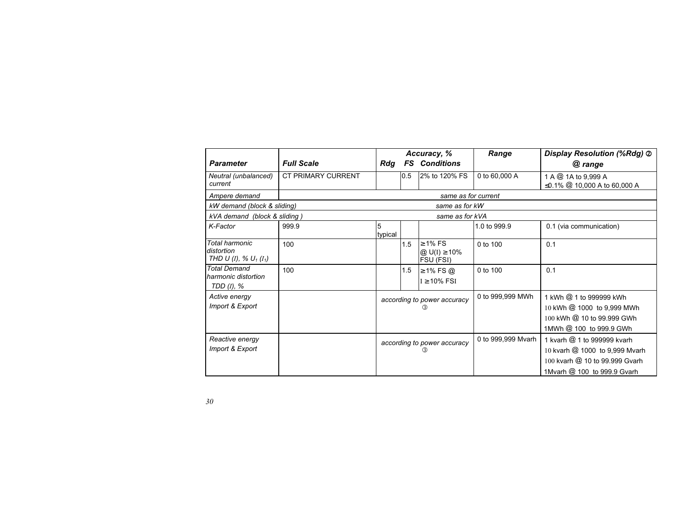|                                                                      |                           | Accuracy, %                        |     |                                            | Range              | Display Resolution (%Rdg) 2                                                                                                    |  |
|----------------------------------------------------------------------|---------------------------|------------------------------------|-----|--------------------------------------------|--------------------|--------------------------------------------------------------------------------------------------------------------------------|--|
| <b>Parameter</b>                                                     | <b>Full Scale</b>         | Rdg                                |     | <b>FS</b> Conditions                       |                    | @ range                                                                                                                        |  |
| Neutral (unbalanced)<br>current                                      | <b>CT PRIMARY CURRENT</b> |                                    | 0.5 | 2% to 120% FS                              | 0 to 60,000 A      | 1 A @ 1A to 9,999 A<br>≤0.1% @ 10,000 A to 60,000 A                                                                            |  |
| Ampere demand                                                        |                           |                                    |     | same as for current                        |                    |                                                                                                                                |  |
| kW demand (block & sliding)                                          |                           |                                    |     | same as for kW                             |                    |                                                                                                                                |  |
| kVA demand (block & sliding)                                         |                           |                                    |     | same as for kVA                            |                    |                                                                                                                                |  |
| K-Factor                                                             | 999.9                     | 5<br>typical                       |     |                                            | 1.0 to 999.9       | 0.1 (via communication)                                                                                                        |  |
| Total harmonic<br>distortion<br>THD U (I), % $U_1$ (I <sub>1</sub> ) | 100                       |                                    | 1.5 | $\geq 1\%$ FS<br>@ U(I) ≥ 10%<br>FSU (FSI) | 0 to 100           | 0.1                                                                                                                            |  |
| <b>Total Demand</b><br>harmonic distortion<br>TDD (I), %             | 100                       |                                    | 1.5 | $\geq$ 1% FS $\omega$<br>$I \geq 10\%$ FSI | 0 to 100           | 0.1                                                                                                                            |  |
| Active energy<br>Import & Export                                     |                           | according to power accuracy<br>(3) |     |                                            | 0 to 999,999 MWh   | 1 kWh @ 1 to 999999 kWh<br>10 kWh @ 1000 to 9,999 MWh<br>100 kWh @ 10 to 99.999 GWh<br>1MWh @ 100 to 999.9 GWh                 |  |
| Reactive energy<br>Import & Export                                   |                           | according to power accuracy<br>(3) |     |                                            | 0 to 999,999 Mvarh | 1 kvarh @ 1 to 999999 kvarh<br>10 kvarh @ 1000 to 9,999 Mvarh<br>100 kvarh @ 10 to 99.999 Gvarh<br>1Mvarh @ 100 to 999.9 Gvarh |  |